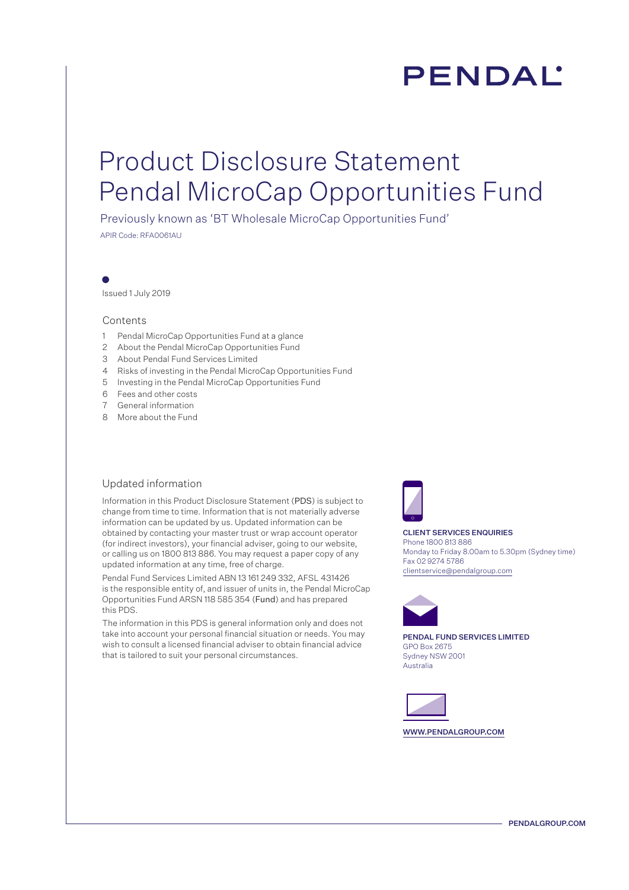# PENDAL'

## Product Disclosure Statement Pendal MicroCap Opportunities Fund

Previously known as 'BT Wholesale MicroCap Opportunities Fund'

APIR Code: RFA0061AU

Issued 1 July 2019

#### **Contents**

- 1 Pendal MicroCap Opportunities Fund at a glance
- 2 About the Pendal MicroCap Opportunities Fund
- 3 About Pendal Fund Services Limited
- 4 Risks of investing in the Pendal MicroCap Opportunities Fund
- 5 Investing in the Pendal MicroCap Opportunities Fund
- 6 Fees and other costs
- 7 General information
- 8 More about the Fund

#### Updated information

Information in this Product Disclosure Statement (PDS) is subject to change from time to time. Information that is not materially adverse information can be updated by us. Updated information can be obtained by contacting your master trust or wrap account operator (for indirect investors), your financial adviser, going to our website, or calling us on 1800 813 886. You may request a paper copy of any updated information at any time, free of charge.

Pendal Fund Services Limited ABN 13 161 249 332, AFSL 431426 is the responsible entity of, and issuer of units in, the Pendal MicroCap Opportunities Fund ARSN 118 585 354 (Fund) and has prepared this PDS.

The information in this PDS is general information only and does not take into account your personal financial situation or needs. You may wish to consult a licensed financial adviser to obtain financial advice that is tailored to suit your personal circumstances.



CLIENT SERVICES ENQUIRIES Phone 1800 813 886 Monday to Friday 8.00am to 5.30pm (Sydney time) Fax 02 9274 5786 clientservice@pendalgroup.com



PENDAL FUND SERVICES LIMITED GPO Box 2675 Sydney NSW 2001 Australia

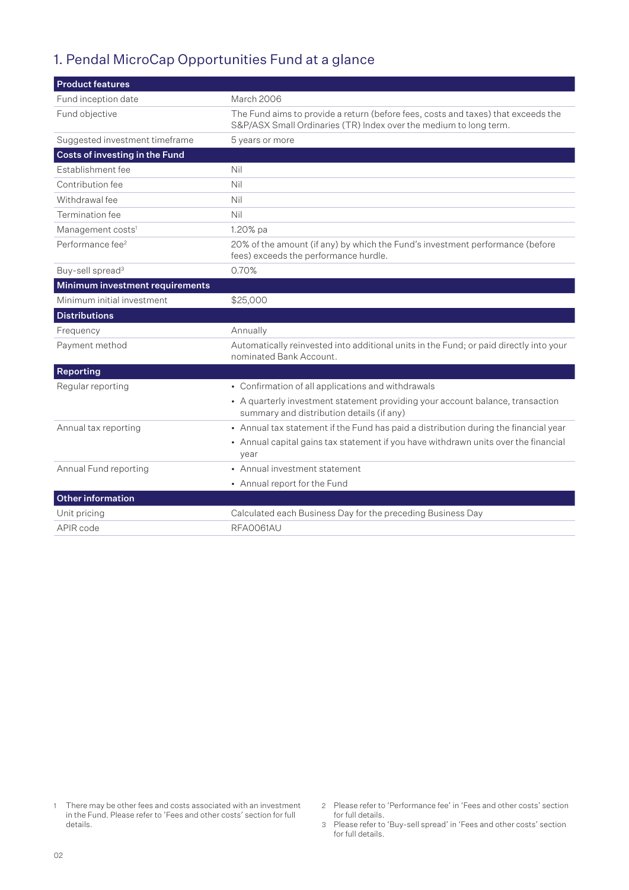## 1. Pendal MicroCap Opportunities Fund at a glance

| <b>Product features</b>         |                                                                                                                                                        |  |
|---------------------------------|--------------------------------------------------------------------------------------------------------------------------------------------------------|--|
| Fund inception date             | March 2006                                                                                                                                             |  |
| Fund objective                  | The Fund aims to provide a return (before fees, costs and taxes) that exceeds the<br>S&P/ASX Small Ordinaries (TR) Index over the medium to long term. |  |
| Suggested investment timeframe  | 5 years or more                                                                                                                                        |  |
| Costs of investing in the Fund  |                                                                                                                                                        |  |
| Establishment fee               | Nil                                                                                                                                                    |  |
| Contribution fee                | Nil                                                                                                                                                    |  |
| Withdrawal fee                  | Nil                                                                                                                                                    |  |
| Termination fee                 | Nil                                                                                                                                                    |  |
| Management costs <sup>1</sup>   | 1.20% pa                                                                                                                                               |  |
| Performance fee <sup>2</sup>    | 20% of the amount (if any) by which the Fund's investment performance (before<br>fees) exceeds the performance hurdle.                                 |  |
| Buy-sell spread <sup>3</sup>    | 0.70%                                                                                                                                                  |  |
| Minimum investment requirements |                                                                                                                                                        |  |
| Minimum initial investment      | \$25,000                                                                                                                                               |  |
| <b>Distributions</b>            |                                                                                                                                                        |  |
| Frequency                       | Annually                                                                                                                                               |  |
| Payment method                  | Automatically reinvested into additional units in the Fund; or paid directly into your<br>nominated Bank Account.                                      |  |
| Reporting                       |                                                                                                                                                        |  |
| Regular reporting               | • Confirmation of all applications and withdrawals                                                                                                     |  |
|                                 | • A quarterly investment statement providing your account balance, transaction<br>summary and distribution details (if any)                            |  |
| Annual tax reporting            | • Annual tax statement if the Fund has paid a distribution during the financial year                                                                   |  |
|                                 | • Annual capital gains tax statement if you have withdrawn units over the financial<br>vear                                                            |  |
| Annual Fund reporting           | • Annual investment statement                                                                                                                          |  |
|                                 | • Annual report for the Fund                                                                                                                           |  |
| <b>Other information</b>        |                                                                                                                                                        |  |
| Unit pricing                    | Calculated each Business Day for the preceding Business Day                                                                                            |  |
| APIR code                       | RFA0061AU                                                                                                                                              |  |

<sup>1</sup> There may be other fees and costs associated with an investment in the Fund. Please refer to 'Fees and other costs' section for full details.

<sup>2</sup> Please refer to 'Performance fee' in 'Fees and other costs' section for full details.

<sup>3</sup> Please refer to 'Buy-sell spread' in 'Fees and other costs' section for full details.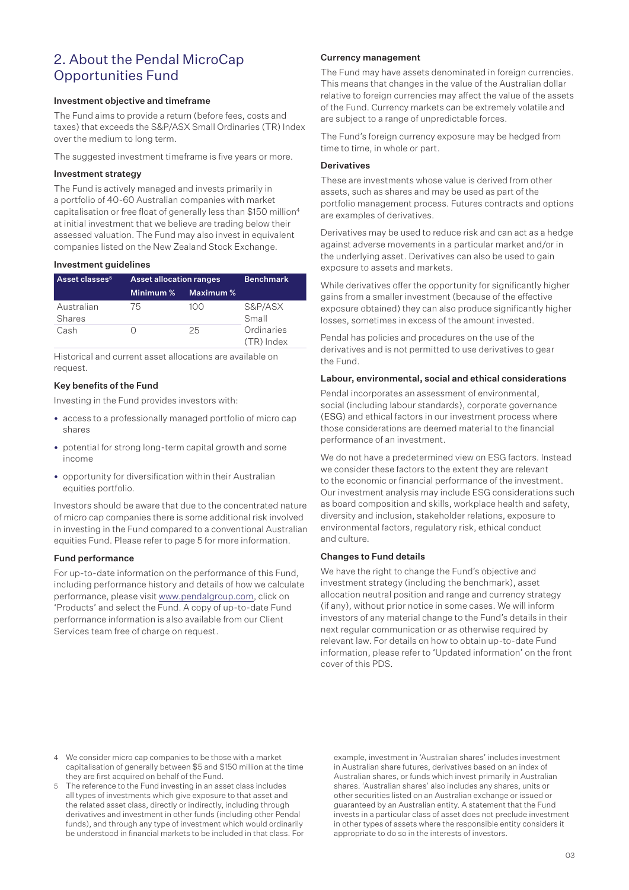## 2. About the Pendal MicroCap Opportunities Fund

#### Investment objective and timeframe

The Fund aims to provide a return (before fees, costs and taxes) that exceeds the S&P/ASX Small Ordinaries (TR) Index over the medium to long term.

The suggested investment timeframe is five years or more.

#### Investment strategy

The Fund is actively managed and invests primarily in a portfolio of 40-60 Australian companies with market capitalisation or free float of generally less than \$150 million<sup>4</sup> at initial investment that we believe are trading below their assessed valuation. The Fund may also invest in equivalent companies listed on the New Zealand Stock Exchange.

#### Investment guidelines

| Asset classes <sup>5</sup> | <b>Asset allocation ranges</b> |           | <b>Benchmark</b>         |
|----------------------------|--------------------------------|-----------|--------------------------|
|                            | Minimum %                      | Maximum % |                          |
| Australian<br>Shares       | 75                             | 100       | S&P/ASX<br>Small         |
| Cash                       |                                | 25        | Ordinaries<br>(TR) Index |

Historical and current asset allocations are available on request.

#### Key benefits of the Fund

Investing in the Fund provides investors with:

- access to a professionally managed portfolio of micro cap shares
- potential for strong long-term capital growth and some income
- opportunity for diversification within their Australian equities portfolio.

Investors should be aware that due to the concentrated nature of micro cap companies there is some additional risk involved in investing in the Fund compared to a conventional Australian equities Fund. Please refer to page 5 for more information.

#### Fund performance

For up-to-date information on the performance of this Fund, including performance history and details of how we calculate performance, please visit www.pendalgroup.com, click on 'Products' and select the Fund. A copy of up-to-date Fund performance information is also available from our Client Services team free of charge on request.

#### Currency management

The Fund may have assets denominated in foreign currencies. This means that changes in the value of the Australian dollar relative to foreign currencies may affect the value of the assets of the Fund. Currency markets can be extremely volatile and are subject to a range of unpredictable forces.

The Fund's foreign currency exposure may be hedged from time to time, in whole or part.

#### **Derivatives**

These are investments whose value is derived from other assets, such as shares and may be used as part of the portfolio management process. Futures contracts and options are examples of derivatives.

Derivatives may be used to reduce risk and can act as a hedge against adverse movements in a particular market and/or in the underlying asset. Derivatives can also be used to gain exposure to assets and markets.

While derivatives offer the opportunity for significantly higher gains from a smaller investment (because of the effective exposure obtained) they can also produce significantly higher losses, sometimes in excess of the amount invested.

Pendal has policies and procedures on the use of the derivatives and is not permitted to use derivatives to gear the Fund.

#### Labour, environmental, social and ethical considerations

Pendal incorporates an assessment of environmental, social (including labour standards), corporate governance (ESG) and ethical factors in our investment process where those considerations are deemed material to the financial performance of an investment.

We do not have a predetermined view on ESG factors. Instead we consider these factors to the extent they are relevant to the economic or financial performance of the investment. Our investment analysis may include ESG considerations such as board composition and skills, workplace health and safety, diversity and inclusion, stakeholder relations, exposure to environmental factors, regulatory risk, ethical conduct and culture.

#### Changes to Fund details

We have the right to change the Fund's objective and investment strategy (including the benchmark), asset allocation neutral position and range and currency strategy (if any), without prior notice in some cases. We will inform investors of any material change to the Fund's details in their next regular communication or as otherwise required by relevant law. For details on how to obtain up-to-date Fund information, please refer to 'Updated information' on the front cover of this PDS.

- 4 We consider micro cap companies to be those with a market capitalisation of generally between \$5 and \$150 million at the time they are first acquired on behalf of the Fund.
- 5 The reference to the Fund investing in an asset class includes all types of investments which give exposure to that asset and the related asset class, directly or indirectly, including through derivatives and investment in other funds (including other Pendal funds), and through any type of investment which would ordinarily be understood in financial markets to be included in that class. For

example, investment in 'Australian shares' includes investment in Australian share futures, derivatives based on an index of Australian shares, or funds which invest primarily in Australian shares. 'Australian shares' also includes any shares, units or other securities listed on an Australian exchange or issued or guaranteed by an Australian entity. A statement that the Fund invests in a particular class of asset does not preclude investment in other types of assets where the responsible entity considers it appropriate to do so in the interests of investors.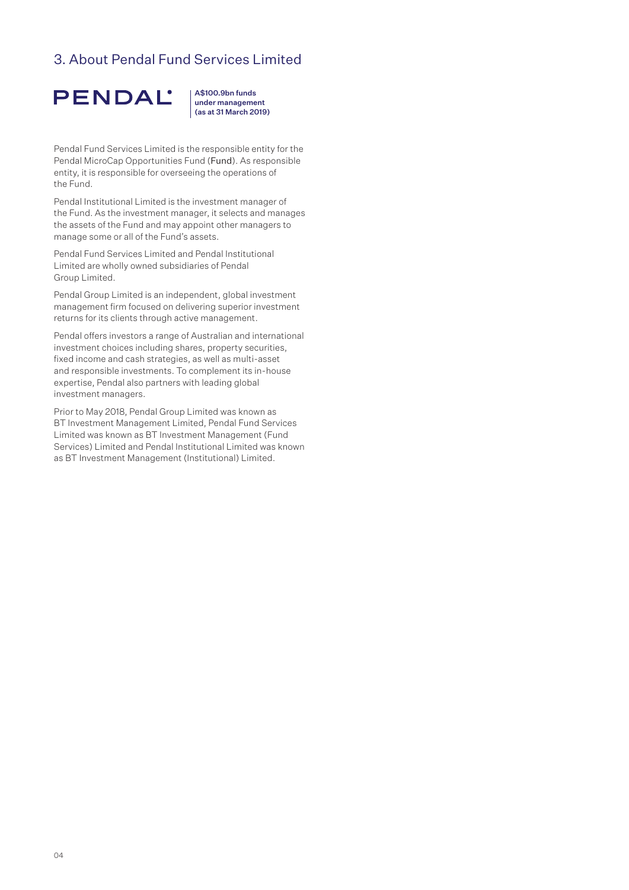## 3. About Pendal Fund Services Limited



A\$100.9bn funds under management (as at 31 March 2019)

Pendal Fund Services Limited is the responsible entity for the Pendal MicroCap Opportunities Fund (Fund). As responsible entity, it is responsible for overseeing the operations of the Fund.

Pendal Institutional Limited is the investment manager of the Fund. As the investment manager, it selects and manages the assets of the Fund and may appoint other managers to manage some or all of the Fund's assets.

Pendal Fund Services Limited and Pendal Institutional Limited are wholly owned subsidiaries of Pendal Group Limited.

Pendal Group Limited is an independent, global investment management firm focused on delivering superior investment returns for its clients through active management.

Pendal offers investors a range of Australian and international investment choices including shares, property securities, fixed income and cash strategies, as well as multi-asset and responsible investments. To complement its in-house expertise, Pendal also partners with leading global investment managers.

Prior to May 2018, Pendal Group Limited was known as BT Investment Management Limited, Pendal Fund Services Limited was known as BT Investment Management (Fund Services) Limited and Pendal Institutional Limited was known as BT Investment Management (Institutional) Limited.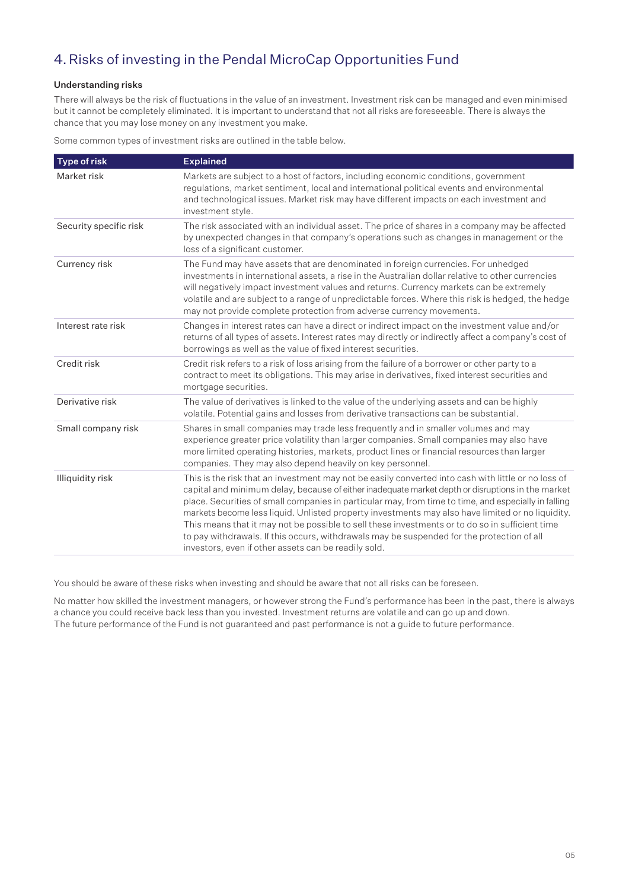## 4.Risks of investing in the Pendal MicroCap Opportunities Fund

### Understanding risks

There will always be the risk of fluctuations in the value of an investment. Investment risk can be managed and even minimised but it cannot be completely eliminated. It is important to understand that not all risks are foreseeable. There is always the chance that you may lose money on any investment you make.

Some common types of investment risks are outlined in the table below.

| <b>Type of risk</b>    | <b>Explained</b>                                                                                                                                                                                                                                                                                                                                                                                                                                                                                                                                                                                                                                                              |
|------------------------|-------------------------------------------------------------------------------------------------------------------------------------------------------------------------------------------------------------------------------------------------------------------------------------------------------------------------------------------------------------------------------------------------------------------------------------------------------------------------------------------------------------------------------------------------------------------------------------------------------------------------------------------------------------------------------|
| Market risk            | Markets are subject to a host of factors, including economic conditions, government<br>regulations, market sentiment, local and international political events and environmental<br>and technological issues. Market risk may have different impacts on each investment and<br>investment style.                                                                                                                                                                                                                                                                                                                                                                              |
| Security specific risk | The risk associated with an individual asset. The price of shares in a company may be affected<br>by unexpected changes in that company's operations such as changes in management or the<br>loss of a significant customer.                                                                                                                                                                                                                                                                                                                                                                                                                                                  |
| Currency risk          | The Fund may have assets that are denominated in foreign currencies. For unhedged<br>investments in international assets, a rise in the Australian dollar relative to other currencies<br>will negatively impact investment values and returns. Currency markets can be extremely<br>volatile and are subject to a range of unpredictable forces. Where this risk is hedged, the hedge<br>may not provide complete protection from adverse currency movements.                                                                                                                                                                                                                |
| Interest rate risk     | Changes in interest rates can have a direct or indirect impact on the investment value and/or<br>returns of all types of assets. Interest rates may directly or indirectly affect a company's cost of<br>borrowings as well as the value of fixed interest securities.                                                                                                                                                                                                                                                                                                                                                                                                        |
| Credit risk            | Credit risk refers to a risk of loss arising from the failure of a borrower or other party to a<br>contract to meet its obligations. This may arise in derivatives, fixed interest securities and<br>mortgage securities.                                                                                                                                                                                                                                                                                                                                                                                                                                                     |
| Derivative risk        | The value of derivatives is linked to the value of the underlying assets and can be highly<br>volatile. Potential gains and losses from derivative transactions can be substantial.                                                                                                                                                                                                                                                                                                                                                                                                                                                                                           |
| Small company risk     | Shares in small companies may trade less frequently and in smaller volumes and may<br>experience greater price volatility than larger companies. Small companies may also have<br>more limited operating histories, markets, product lines or financial resources than larger<br>companies. They may also depend heavily on key personnel.                                                                                                                                                                                                                                                                                                                                    |
| Illiquidity risk       | This is the risk that an investment may not be easily converted into cash with little or no loss of<br>capital and minimum delay, because of either inadequate market depth or disruptions in the market<br>place. Securities of small companies in particular may, from time to time, and especially in falling<br>markets become less liquid. Unlisted property investments may also have limited or no liquidity.<br>This means that it may not be possible to sell these investments or to do so in sufficient time<br>to pay withdrawals. If this occurs, withdrawals may be suspended for the protection of all<br>investors, even if other assets can be readily sold. |

You should be aware of these risks when investing and should be aware that not all risks can be foreseen.

No matter how skilled the investment managers, or however strong the Fund's performance has been in the past, there is always a chance you could receive back less than you invested. Investment returns are volatile and can go up and down. The future performance of the Fund is not guaranteed and past performance is not a guide to future performance.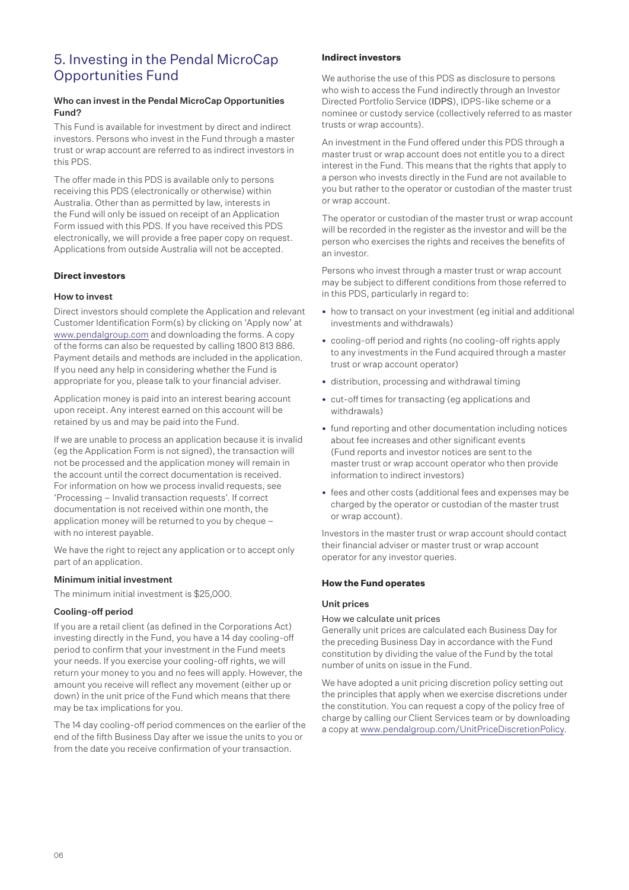## 5. Investing in the Pendal MicroCap Opportunities Fund

#### Who can invest in the Pendal MicroCap Opportunities Fund?

This Fund is available for investment by direct and indirect investors. Persons who invest in the Fund through a master trust or wrap account are referred to as indirect investors in this PDS.

The offer made in this PDS is available only to persons receiving this PDS (electronically or otherwise) within Australia. Other than as permitted by law, interests in the Fund will only be issued on receipt of an Application Form issued with this PDS. If you have received this PDS electronically, we will provide a free paper copy on request. Applications from outside Australia will not be accepted.

### **Direct investors**

#### How to invest

Direct investors should complete the Application and relevant Customer Identification Form(s) by clicking on 'Apply now' at www.pendalgroup.com and downloading the forms. A copy of the forms can also be requested by calling 1800 813 886. Payment details and methods are included in the application. If you need any help in considering whether the Fund is appropriate for you, please talk to your financial adviser.

Application money is paid into an interest bearing account upon receipt. Any interest earned on this account will be retained by us and may be paid into the Fund.

If we are unable to process an application because it is invalid (eg the Application Form is not signed), the transaction will not be processed and the application money will remain in the account until the correct documentation is received. For information on how we process invalid requests, see 'Processing – Invalid transaction requests'. If correct documentation is not received within one month, the application money will be returned to you by cheque – with no interest payable.

We have the right to reject any application or to accept only part of an application.

#### Minimum initial investment

The minimum initial investment is \$25,000.

#### Cooling-off period

If you are a retail client (as defined in the Corporations Act) investing directly in the Fund, you have a 14 day cooling-off period to confirm that your investment in the Fund meets your needs. If you exercise your cooling-off rights, we will return your money to you and no fees will apply. However, the amount you receive will reflect any movement (either up or down) in the unit price of the Fund which means that there may be tax implications for you.

The 14 day cooling-off period commences on the earlier of the end of the fifth Business Day after we issue the units to you or from the date you receive confirmation of your transaction.

#### **Indirect investors**

We authorise the use of this PDS as disclosure to persons who wish to access the Fund indirectly through an Investor Directed Portfolio Service (IDPS), IDPS-like scheme or a nominee or custody service (collectively referred to as master trusts or wrap accounts).

An investment in the Fund offered under this PDS through a master trust or wrap account does not entitle you to a direct interest in the Fund. This means that the rights that apply to a person who invests directly in the Fund are not available to you but rather to the operator or custodian of the master trust or wrap account.

The operator or custodian of the master trust or wrap account will be recorded in the register as the investor and will be the person who exercises the rights and receives the benefits of an investor.

Persons who invest through a master trust or wrap account may be subject to different conditions from those referred to in this PDS, particularly in regard to:

- how to transact on your investment (eg initial and additional investments and withdrawals)
- cooling-off period and rights (no cooling-off rights apply to any investments in the Fund acquired through a master trust or wrap account operator)
- distribution, processing and withdrawal timing
- cut-off times for transacting (eg applications and withdrawals)
- fund reporting and other documentation including notices about fee increases and other significant events (Fund reports and investor notices are sent to the master trust or wrap account operator who then provide information to indirect investors)
- fees and other costs (additional fees and expenses may be charged by the operator or custodian of the master trust or wrap account).

Investors in the master trust or wrap account should contact their financial adviser or master trust or wrap account operator for any investor queries.

#### **How the Fund operates**

#### Unit prices

#### How we calculate unit prices

Generally unit prices are calculated each Business Day for the preceding Business Day in accordance with the Fund constitution by dividing the value of the Fund by the total number of units on issue in the Fund.

We have adopted a unit pricing discretion policy setting out the principles that apply when we exercise discretions under the constitution. You can request a copy of the policy free of charge by calling our Client Services team or by downloading a copy at www.pendalgroup.com/UnitPriceDiscretionPolicy.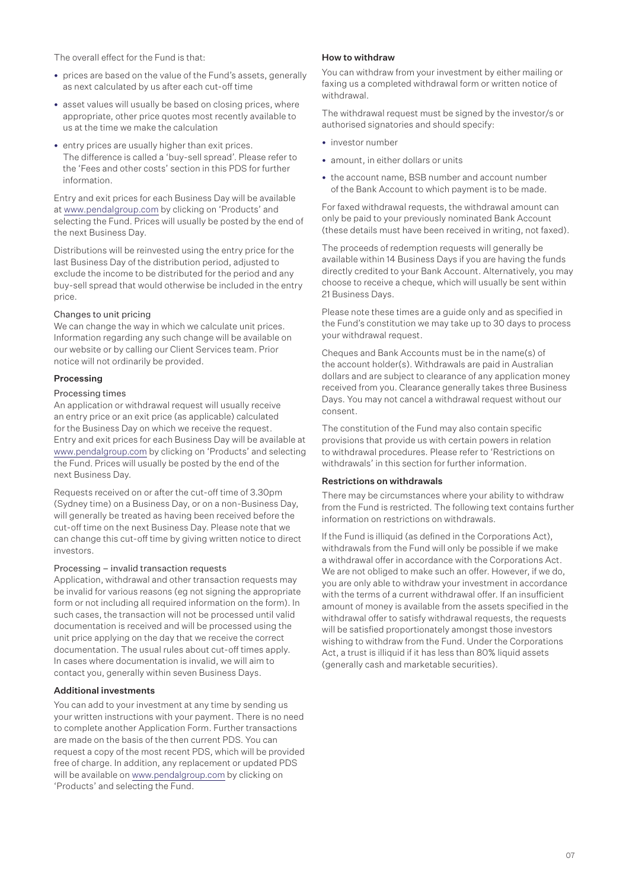The overall effect for the Fund is that:

- prices are based on the value of the Fund's assets, generally as next calculated by us after each cut-off time
- asset values will usually be based on closing prices, where appropriate, other price quotes most recently available to us at the time we make the calculation
- entry prices are usually higher than exit prices. The difference is called a 'buy-sell spread'. Please refer to the 'Fees and other costs' section in this PDS for further information.

Entry and exit prices for each Business Day will be available at www.pendalgroup.com by clicking on 'Products' and selecting the Fund. Prices will usually be posted by the end of the next Business Day.

Distributions will be reinvested using the entry price for the last Business Day of the distribution period, adjusted to exclude the income to be distributed for the period and any buy-sell spread that would otherwise be included in the entry price.

#### Changes to unit pricing

We can change the way in which we calculate unit prices. Information regarding any such change will be available on our website or by calling our Client Services team. Prior notice will not ordinarily be provided.

#### Processing

#### Processing times

An application or withdrawal request will usually receive an entry price or an exit price (as applicable) calculated for the Business Day on which we receive the request. Entry and exit prices for each Business Day will be available at www.pendalgroup.com by clicking on 'Products' and selecting the Fund. Prices will usually be posted by the end of the next Business Day.

Requests received on or after the cut-off time of 3.30pm (Sydney time) on a Business Day, or on a non-Business Day, will generally be treated as having been received before the cut-off time on the next Business Day. Please note that we can change this cut-off time by giving written notice to direct investors.

#### Processing – invalid transaction requests

Application, withdrawal and other transaction requests may be invalid for various reasons (eg not signing the appropriate form or not including all required information on the form). In such cases, the transaction will not be processed until valid documentation is received and will be processed using the unit price applying on the day that we receive the correct documentation. The usual rules about cut-off times apply. In cases where documentation is invalid, we will aim to contact you, generally within seven Business Days.

#### Additional investments

You can add to your investment at any time by sending us your written instructions with your payment. There is no need to complete another Application Form. Further transactions are made on the basis of the then current PDS. You can request a copy of the most recent PDS, which will be provided free of charge. In addition, any replacement or updated PDS will be available on www.pendalgroup.com by clicking on 'Products' and selecting the Fund.

#### How to withdraw

You can withdraw from your investment by either mailing or faxing us a completed withdrawal form or written notice of withdrawal.

The withdrawal request must be signed by the investor/s or authorised signatories and should specify:

- investor number
- amount, in either dollars or units
- the account name, BSB number and account number of the Bank Account to which payment is to be made.

For faxed withdrawal requests, the withdrawal amount can only be paid to your previously nominated Bank Account (these details must have been received in writing, not faxed).

The proceeds of redemption requests will generally be available within 14 Business Days if you are having the funds directly credited to your Bank Account. Alternatively, you may choose to receive a cheque, which will usually be sent within 21 Business Days.

Please note these times are a guide only and as specified in the Fund's constitution we may take up to 30 days to process your withdrawal request.

Cheques and Bank Accounts must be in the name(s) of the account holder(s). Withdrawals are paid in Australian dollars and are subject to clearance of any application money received from you. Clearance generally takes three Business Days. You may not cancel a withdrawal request without our consent.

The constitution of the Fund may also contain specific provisions that provide us with certain powers in relation to withdrawal procedures. Please refer to 'Restrictions on withdrawals' in this section for further information.

#### Restrictions on withdrawals

There may be circumstances where your ability to withdraw from the Fund is restricted. The following text contains further information on restrictions on withdrawals.

If the Fund is illiquid (as defined in the Corporations Act), withdrawals from the Fund will only be possible if we make a withdrawal offer in accordance with the Corporations Act. We are not obliged to make such an offer. However, if we do, you are only able to withdraw your investment in accordance with the terms of a current withdrawal offer. If an insufficient amount of money is available from the assets specified in the withdrawal offer to satisfy withdrawal requests, the requests will be satisfied proportionately amongst those investors wishing to withdraw from the Fund. Under the Corporations Act, a trust is illiquid if it has less than 80% liquid assets (generally cash and marketable securities).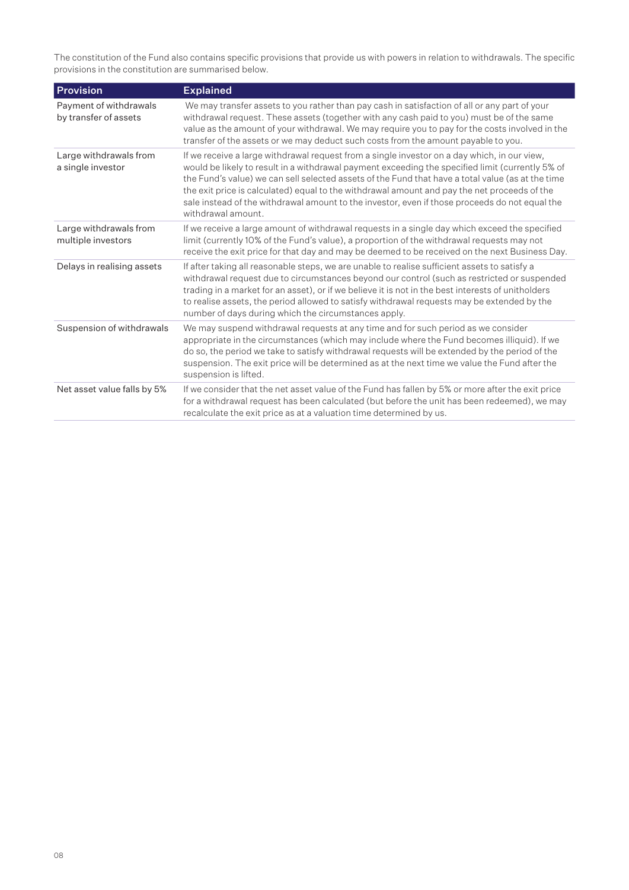The constitution of the Fund also contains specific provisions that provide us with powers in relation to withdrawals. The specific provisions in the constitution are summarised below.

| <b>Provision</b>                                | <b>Explained</b>                                                                                                                                                                                                                                                                                                                                                                                                                                                                                                              |
|-------------------------------------------------|-------------------------------------------------------------------------------------------------------------------------------------------------------------------------------------------------------------------------------------------------------------------------------------------------------------------------------------------------------------------------------------------------------------------------------------------------------------------------------------------------------------------------------|
| Payment of withdrawals<br>by transfer of assets | We may transfer assets to you rather than pay cash in satisfaction of all or any part of your<br>withdrawal request. These assets (together with any cash paid to you) must be of the same<br>value as the amount of your withdrawal. We may require you to pay for the costs involved in the<br>transfer of the assets or we may deduct such costs from the amount payable to you.                                                                                                                                           |
| Large withdrawals from<br>a single investor     | If we receive a large withdrawal request from a single investor on a day which, in our view,<br>would be likely to result in a withdrawal payment exceeding the specified limit (currently 5% of<br>the Fund's value) we can sell selected assets of the Fund that have a total value (as at the time<br>the exit price is calculated) equal to the withdrawal amount and pay the net proceeds of the<br>sale instead of the withdrawal amount to the investor, even if those proceeds do not equal the<br>withdrawal amount. |
| Large withdrawals from<br>multiple investors    | If we receive a large amount of withdrawal requests in a single day which exceed the specified<br>limit (currently 10% of the Fund's value), a proportion of the withdrawal requests may not<br>receive the exit price for that day and may be deemed to be received on the next Business Day.                                                                                                                                                                                                                                |
| Delays in realising assets                      | If after taking all reasonable steps, we are unable to realise sufficient assets to satisfy a<br>withdrawal request due to circumstances beyond our control (such as restricted or suspended<br>trading in a market for an asset), or if we believe it is not in the best interests of unitholders<br>to realise assets, the period allowed to satisfy withdrawal requests may be extended by the<br>number of days during which the circumstances apply.                                                                     |
| Suspension of withdrawals                       | We may suspend withdrawal requests at any time and for such period as we consider<br>appropriate in the circumstances (which may include where the Fund becomes illiquid). If we<br>do so, the period we take to satisfy withdrawal requests will be extended by the period of the<br>suspension. The exit price will be determined as at the next time we value the Fund after the<br>suspension is lifted.                                                                                                                  |
| Net asset value falls by 5%                     | If we consider that the net asset value of the Fund has fallen by 5% or more after the exit price<br>for a withdrawal request has been calculated (but before the unit has been redeemed), we may<br>recalculate the exit price as at a valuation time determined by us.                                                                                                                                                                                                                                                      |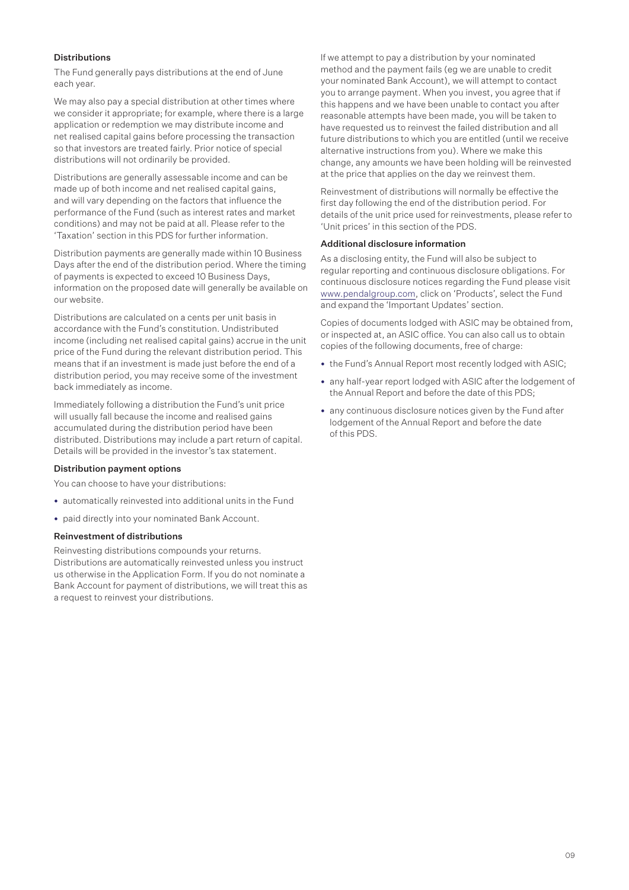#### **Distributions**

The Fund generally pays distributions at the end of June each year.

We may also pay a special distribution at other times where we consider it appropriate; for example, where there is a large application or redemption we may distribute income and net realised capital gains before processing the transaction so that investors are treated fairly. Prior notice of special distributions will not ordinarily be provided.

Distributions are generally assessable income and can be made up of both income and net realised capital gains, and will vary depending on the factors that influence the performance of the Fund (such as interest rates and market conditions) and may not be paid at all. Please refer to the 'Taxation' section in this PDS for further information.

Distribution payments are generally made within 10 Business Days after the end of the distribution period. Where the timing of payments is expected to exceed 10 Business Days, information on the proposed date will generally be available on our website.

Distributions are calculated on a cents per unit basis in accordance with the Fund's constitution. Undistributed income (including net realised capital gains) accrue in the unit price of the Fund during the relevant distribution period. This means that if an investment is made just before the end of a distribution period, you may receive some of the investment back immediately as income.

Immediately following a distribution the Fund's unit price will usually fall because the income and realised gains accumulated during the distribution period have been distributed. Distributions may include a part return of capital. Details will be provided in the investor's tax statement.

#### Distribution payment options

You can choose to have your distributions:

- automatically reinvested into additional units in the Fund
- paid directly into your nominated Bank Account.

#### Reinvestment of distributions

Reinvesting distributions compounds your returns. Distributions are automatically reinvested unless you instruct us otherwise in the Application Form. If you do not nominate a Bank Account for payment of distributions, we will treat this as a request to reinvest your distributions.

If we attempt to pay a distribution by your nominated method and the payment fails (eg we are unable to credit your nominated Bank Account), we will attempt to contact you to arrange payment. When you invest, you agree that if this happens and we have been unable to contact you after reasonable attempts have been made, you will be taken to have requested us to reinvest the failed distribution and all future distributions to which you are entitled (until we receive alternative instructions from you). Where we make this change, any amounts we have been holding will be reinvested at the price that applies on the day we reinvest them.

Reinvestment of distributions will normally be effective the first day following the end of the distribution period. For details of the unit price used for reinvestments, please refer to 'Unit prices' in this section of the PDS.

#### Additional disclosure information

As a disclosing entity, the Fund will also be subject to regular reporting and continuous disclosure obligations. For continuous disclosure notices regarding the Fund please visit www.pendalgroup.com, click on 'Products', select the Fund and expand the 'Important Updates' section.

Copies of documents lodged with ASIC may be obtained from, or inspected at, an ASIC office. You can also call us to obtain copies of the following documents, free of charge:

- the Fund's Annual Report most recently lodged with ASIC;
- any half-year report lodged with ASIC after the lodgement of the Annual Report and before the date of this PDS;
- any continuous disclosure notices given by the Fund after lodgement of the Annual Report and before the date of this PDS.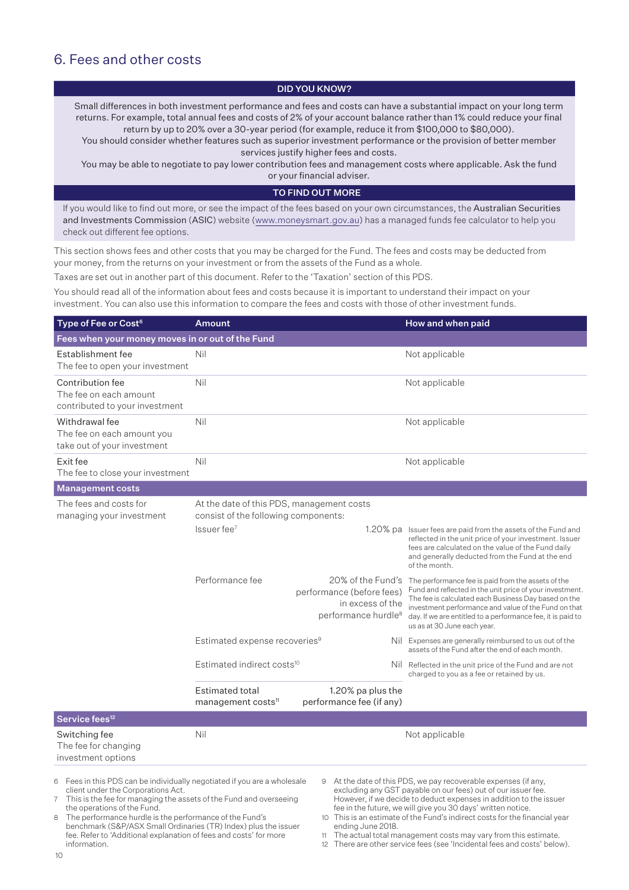## 6. Fees and other costs

#### DID YOU KNOW?

Small differences in both investment performance and fees and costs can have a substantial impact on your long term returns. For example, total annual fees and costs of 2% of your account balance rather than 1% could reduce your final return by up to 20% over a 30-year period (for example, reduce it from \$100,000 to \$80,000).

You should consider whether features such as superior investment performance or the provision of better member services justify higher fees and costs.

You may be able to negotiate to pay lower contribution fees and management costs where applicable. Ask the fund

or your financial adviser.

#### TO FIND OUT MORE

If you would like to find out more, or see the impact of the fees based on your own circumstances, the Australian Securities and Investments Commission (ASIC) website (www.moneysmart.gov.au) has a managed funds fee calculator to help you check out different fee options.

This section shows fees and other costs that you may be charged for the Fund. The fees and costs may be deducted from your money, from the returns on your investment or from the assets of the Fund as a whole.

Taxes are set out in another part of this document. Refer to the 'Taxation' section of this PDS.

You should read all of the information about fees and costs because it is important to understand their impact on your investment. You can also use this information to compare the fees and costs with those of other investment funds.

| Type of Fee or Cost <sup>6</sup>                                             | <b>Amount</b>                                                                     |                                                                                                       | How and when paid                                                                                                                                                                                                                                                                                                            |
|------------------------------------------------------------------------------|-----------------------------------------------------------------------------------|-------------------------------------------------------------------------------------------------------|------------------------------------------------------------------------------------------------------------------------------------------------------------------------------------------------------------------------------------------------------------------------------------------------------------------------------|
| Fees when your money moves in or out of the Fund                             |                                                                                   |                                                                                                       |                                                                                                                                                                                                                                                                                                                              |
| Establishment fee<br>The fee to open your investment                         | Nil                                                                               |                                                                                                       | Not applicable                                                                                                                                                                                                                                                                                                               |
| Contribution fee<br>The fee on each amount<br>contributed to your investment | Nil                                                                               |                                                                                                       | Not applicable                                                                                                                                                                                                                                                                                                               |
| Withdrawal fee<br>The fee on each amount you<br>take out of your investment  | Nil                                                                               |                                                                                                       | Not applicable                                                                                                                                                                                                                                                                                                               |
| Exit fee<br>The fee to close your investment                                 | Nil<br>Not applicable                                                             |                                                                                                       |                                                                                                                                                                                                                                                                                                                              |
| <b>Management costs</b>                                                      |                                                                                   |                                                                                                       |                                                                                                                                                                                                                                                                                                                              |
| The fees and costs for<br>managing your investment                           | At the date of this PDS, management costs<br>consist of the following components: |                                                                                                       |                                                                                                                                                                                                                                                                                                                              |
|                                                                              | Issuer fee <sup>7</sup>                                                           |                                                                                                       | 1.20% pa Issuer fees are paid from the assets of the Fund and<br>reflected in the unit price of your investment. Issuer<br>fees are calculated on the value of the Fund daily<br>and generally deducted from the Fund at the end<br>of the month.                                                                            |
|                                                                              | Performance fee                                                                   | 20% of the Fund's<br>performance (before fees)<br>in excess of the<br>performance hurdle <sup>8</sup> | The performance fee is paid from the assets of the<br>Fund and reflected in the unit price of your investment.<br>The fee is calculated each Business Day based on the<br>investment performance and value of the Fund on that<br>day. If we are entitled to a performance fee, it is paid to<br>us as at 30 June each year. |
|                                                                              | Estimated expense recoveries <sup>9</sup>                                         | Nil                                                                                                   | Expenses are generally reimbursed to us out of the<br>assets of the Fund after the end of each month.                                                                                                                                                                                                                        |
|                                                                              | Estimated indirect costs <sup>10</sup>                                            |                                                                                                       | Nil Reflected in the unit price of the Fund and are not<br>charged to you as a fee or retained by us.                                                                                                                                                                                                                        |
|                                                                              | <b>Estimated total</b><br>management costs <sup>11</sup>                          | 1.20% pa plus the<br>performance fee (if any)                                                         |                                                                                                                                                                                                                                                                                                                              |
| Service fees <sup>12</sup>                                                   |                                                                                   |                                                                                                       |                                                                                                                                                                                                                                                                                                                              |
| Switching fee<br>The fee for changing<br>investment options                  | Nil                                                                               |                                                                                                       | Not applicable                                                                                                                                                                                                                                                                                                               |

6 Fees in this PDS can be individually negotiated if you are a wholesale client under the Corporations Act.

7 This is the fee for managing the assets of the Fund and overseeing the operations of the Fund.

8 The performance hurdle is the performance of the Fund's benchmark (S&P/ASX Small Ordinaries (TR) Index) plus the issuer fee. Refer to 'Additional explanation of fees and costs' for more information.

9 At the date of this PDS, we pay recoverable expenses (if any, excluding any GST payable on our fees) out of our issuer fee. However, if we decide to deduct expenses in addition to the issuer fee in the future, we will give you 30 days' written notice.

10 This is an estimate of the Fund's indirect costs for the financial year ending June 2018.

11 The actual total management costs may vary from this estimate.

12 There are other service fees (see 'Incidental fees and costs' below).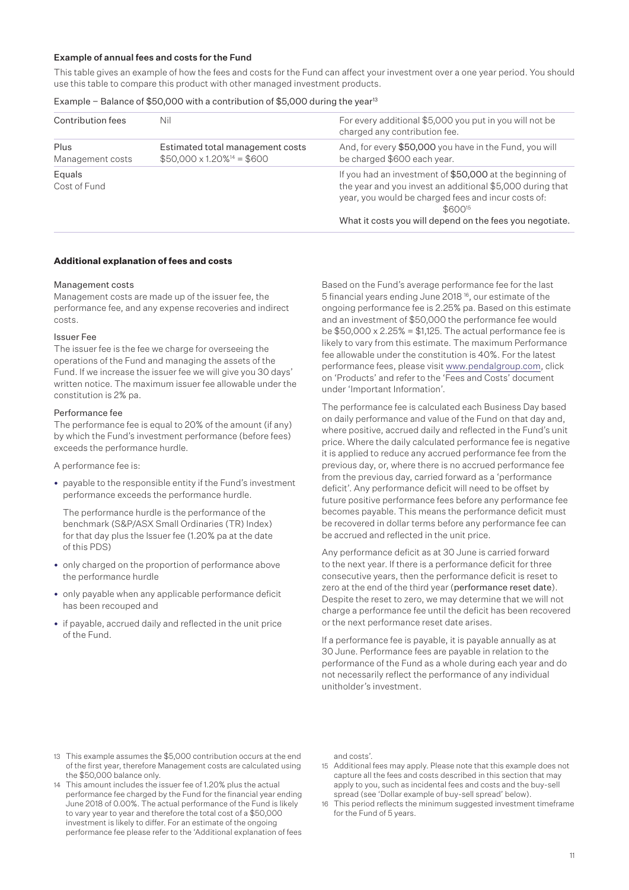#### Example of annual fees and costs for the Fund

This table gives an example of how the fees and costs for the Fund can affect your investment over a one year period. You should use this table to compare this product with other managed investment products.

#### Example – Balance of \$50,000 with a contribution of \$5,000 during the year<sup>13</sup>

| Contribution fees        | Nil                                                                     | For every additional \$5,000 you put in you will not be<br>charged any contribution fee.                                                                                                                                                                        |
|--------------------------|-------------------------------------------------------------------------|-----------------------------------------------------------------------------------------------------------------------------------------------------------------------------------------------------------------------------------------------------------------|
| Plus<br>Management costs | Estimated total management costs<br>$$50,000 \times 1.20\%^{14} = $600$ | And, for every \$50,000 you have in the Fund, you will<br>be charged \$600 each year.                                                                                                                                                                           |
| Equals<br>Cost of Fund   |                                                                         | If you had an investment of \$50,000 at the beginning of<br>the year and you invest an additional \$5,000 during that<br>year, you would be charged fees and incur costs of:<br>\$600 <sup>15</sup><br>What it costs you will depend on the fees you negotiate. |

#### **Additional explanation of fees and costs**

#### Management costs

Management costs are made up of the issuer fee, the performance fee, and any expense recoveries and indirect costs.

#### Issuer Fee

The issuer fee is the fee we charge for overseeing the operations of the Fund and managing the assets of the Fund. If we increase the issuer fee we will give you 30 days' written notice. The maximum issuer fee allowable under the constitution is 2% pa.

#### Performance fee

The performance fee is equal to 20% of the amount (if any) by which the Fund's investment performance (before fees) exceeds the performance hurdle.

A performance fee is:

• payable to the responsible entity if the Fund's investment performance exceeds the performance hurdle.

The performance hurdle is the performance of the benchmark (S&P/ASX Small Ordinaries (TR) Index) for that day plus the Issuer fee (1.20% pa at the date of this PDS)

- only charged on the proportion of performance above the performance hurdle
- only payable when any applicable performance deficit has been recouped and
- if payable, accrued daily and reflected in the unit price of the Fund.

Based on the Fund's average performance fee for the last 5 financial years ending June 2018 16, our estimate of the ongoing performance fee is 2.25% pa. Based on this estimate and an investment of \$50,000 the performance fee would be  $$50,000 \times 2.25\% = $1,125$ . The actual performance fee is likely to vary from this estimate. The maximum Performance fee allowable under the constitution is 40%. For the latest performance fees, please visit www.pendalgroup.com, click on 'Products' and refer to the 'Fees and Costs' document under 'Important Information'.

The performance fee is calculated each Business Day based on daily performance and value of the Fund on that day and, where positive, accrued daily and reflected in the Fund's unit price. Where the daily calculated performance fee is negative it is applied to reduce any accrued performance fee from the previous day, or, where there is no accrued performance fee from the previous day, carried forward as a 'performance deficit'. Any performance deficit will need to be offset by future positive performance fees before any performance fee becomes payable. This means the performance deficit must be recovered in dollar terms before any performance fee can be accrued and reflected in the unit price.

Any performance deficit as at 30 June is carried forward to the next year. If there is a performance deficit for three consecutive years, then the performance deficit is reset to zero at the end of the third year (performance reset date). Despite the reset to zero, we may determine that we will not charge a performance fee until the deficit has been recovered or the next performance reset date arises.

If a performance fee is payable, it is payable annually as at 30 June. Performance fees are payable in relation to the performance of the Fund as a whole during each year and do not necessarily reflect the performance of any individual unitholder's investment.

- 13 This example assumes the \$5,000 contribution occurs at the end of the first year, therefore Management costs are calculated using the \$50,000 balance only.
- 14 This amount includes the issuer fee of 1.20% plus the actual performance fee charged by the Fund for the financial year ending June 2018 of 0.00%. The actual performance of the Fund is likely to vary year to year and therefore the total cost of a \$50,000 investment is likely to differ. For an estimate of the ongoing performance fee please refer to the 'Additional explanation of fees

and costs'.

- 15 Additional fees may apply. Please note that this example does not capture all the fees and costs described in this section that may apply to you, such as incidental fees and costs and the buy-sell spread (see 'Dollar example of buy-sell spread' below).
- 16 This period reflects the minimum suggested investment timeframe for the Fund of 5 years.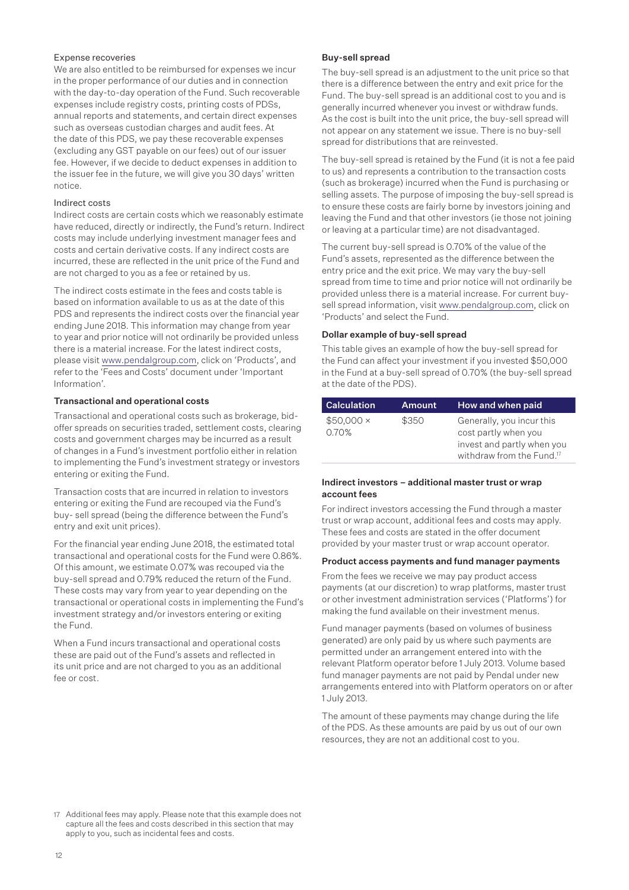#### Expense recoveries

We are also entitled to be reimbursed for expenses we incur in the proper performance of our duties and in connection with the day-to-day operation of the Fund. Such recoverable expenses include registry costs, printing costs of PDSs, annual reports and statements, and certain direct expenses such as overseas custodian charges and audit fees. At the date of this PDS, we pay these recoverable expenses (excluding any GST payable on our fees) out of our issuer fee. However, if we decide to deduct expenses in addition to the issuer fee in the future, we will give you 30 days' written notice.

#### Indirect costs

Indirect costs are certain costs which we reasonably estimate have reduced, directly or indirectly, the Fund's return. Indirect costs may include underlying investment manager fees and costs and certain derivative costs. If any indirect costs are incurred, these are reflected in the unit price of the Fund and are not charged to you as a fee or retained by us.

The indirect costs estimate in the fees and costs table is based on information available to us as at the date of this PDS and represents the indirect costs over the financial year ending June 2018. This information may change from year to year and prior notice will not ordinarily be provided unless there is a material increase. For the latest indirect costs, please visit www.pendalgroup.com, click on 'Products', and refer to the 'Fees and Costs' document under 'Important Information'.

#### Transactional and operational costs

Transactional and operational costs such as brokerage, bidoffer spreads on securities traded, settlement costs, clearing costs and government charges may be incurred as a result of changes in a Fund's investment portfolio either in relation to implementing the Fund's investment strategy or investors entering or exiting the Fund.

Transaction costs that are incurred in relation to investors entering or exiting the Fund are recouped via the Fund's buy- sell spread (being the difference between the Fund's entry and exit unit prices).

For the financial year ending June 2018, the estimated total transactional and operational costs for the Fund were 0.86%. Of this amount, we estimate 0.07% was recouped via the buy-sell spread and 0.79% reduced the return of the Fund. These costs may vary from year to year depending on the transactional or operational costs in implementing the Fund's investment strategy and/or investors entering or exiting the Fund.

When a Fund incurs transactional and operational costs these are paid out of the Fund's assets and reflected in its unit price and are not charged to you as an additional fee or cost.

#### Buy-sell spread

The buy-sell spread is an adjustment to the unit price so that there is a difference between the entry and exit price for the Fund. The buy-sell spread is an additional cost to you and is generally incurred whenever you invest or withdraw funds. As the cost is built into the unit price, the buy-sell spread will not appear on any statement we issue. There is no buy-sell spread for distributions that are reinvested.

The buy-sell spread is retained by the Fund (it is not a fee paid to us) and represents a contribution to the transaction costs (such as brokerage) incurred when the Fund is purchasing or selling assets. The purpose of imposing the buy-sell spread is to ensure these costs are fairly borne by investors joining and leaving the Fund and that other investors (ie those not joining or leaving at a particular time) are not disadvantaged.

The current buy-sell spread is 0.70% of the value of the Fund's assets, represented as the difference between the entry price and the exit price. We may vary the buy-sell spread from time to time and prior notice will not ordinarily be provided unless there is a material increase. For current buysell spread information, visit www.pendalgroup.com, click on 'Products' and select the Fund.

#### Dollar example of buy-sell spread

This table gives an example of how the buy-sell spread for the Fund can affect your investment if you invested \$50,000 in the Fund at a buy-sell spread of 0.70% (the buy-sell spread at the date of the PDS).

| <b>Calculation</b>        | <b>Amount</b> | How and when paid                                                                                                        |
|---------------------------|---------------|--------------------------------------------------------------------------------------------------------------------------|
| $$50,000 \times$<br>0.70% | \$350         | Generally, you incur this<br>cost partly when you<br>invest and partly when you<br>withdraw from the Fund. <sup>17</sup> |

#### Indirect investors – additional master trust or wrap account fees

For indirect investors accessing the Fund through a master trust or wrap account, additional fees and costs may apply. These fees and costs are stated in the offer document provided by your master trust or wrap account operator.

#### Product access payments and fund manager payments

From the fees we receive we may pay product access payments (at our discretion) to wrap platforms, master trust or other investment administration services ('Platforms') for making the fund available on their investment menus.

Fund manager payments (based on volumes of business generated) are only paid by us where such payments are permitted under an arrangement entered into with the relevant Platform operator before 1 July 2013. Volume based fund manager payments are not paid by Pendal under new arrangements entered into with Platform operators on or after 1 July 2013.

The amount of these payments may change during the life of the PDS. As these amounts are paid by us out of our own resources, they are not an additional cost to you.

<sup>17</sup> Additional fees may apply. Please note that this example does not capture all the fees and costs described in this section that may apply to you, such as incidental fees and costs.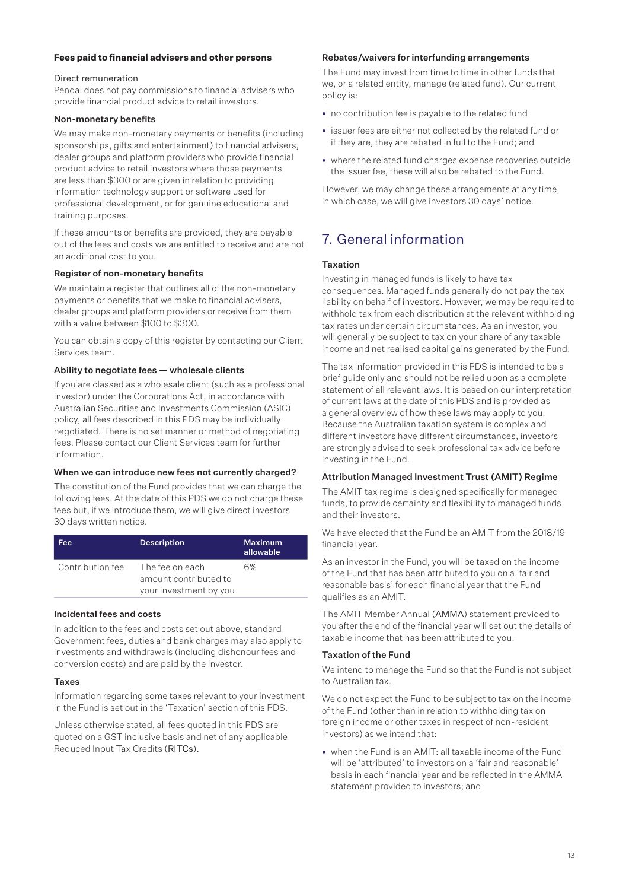#### **Fees paid to financial advisers and other persons**

#### Direct remuneration

Pendal does not pay commissions to financial advisers who provide financial product advice to retail investors.

#### Non-monetary benefits

We may make non-monetary payments or benefits (including sponsorships, gifts and entertainment) to financial advisers, dealer groups and platform providers who provide financial product advice to retail investors where those payments are less than \$300 or are given in relation to providing information technology support or software used for professional development, or for genuine educational and training purposes.

If these amounts or benefits are provided, they are payable out of the fees and costs we are entitled to receive and are not an additional cost to you.

#### Register of non-monetary benefits

We maintain a register that outlines all of the non-monetary payments or benefits that we make to financial advisers, dealer groups and platform providers or receive from them with a value between \$100 to \$300.

You can obtain a copy of this register by contacting our Client Services team.

#### Ability to negotiate fees — wholesale clients

If you are classed as a wholesale client (such as a professional investor) under the Corporations Act, in accordance with Australian Securities and Investments Commission (ASIC) policy, all fees described in this PDS may be individually negotiated. There is no set manner or method of negotiating fees. Please contact our Client Services team for further information.

#### When we can introduce new fees not currently charged?

The constitution of the Fund provides that we can charge the following fees. At the date of this PDS we do not charge these fees but, if we introduce them, we will give direct investors 30 days written notice.

| Fee              | <b>Description</b>                                                 | <b>Maximum</b><br>allowable |
|------------------|--------------------------------------------------------------------|-----------------------------|
| Contribution fee | The fee on each<br>amount contributed to<br>your investment by you | 6%                          |

#### Incidental fees and costs

In addition to the fees and costs set out above, standard Government fees, duties and bank charges may also apply to investments and withdrawals (including dishonour fees and conversion costs) and are paid by the investor.

#### Taxes

Information regarding some taxes relevant to your investment in the Fund is set out in the 'Taxation' section of this PDS.

Unless otherwise stated, all fees quoted in this PDS are quoted on a GST inclusive basis and net of any applicable Reduced Input Tax Credits (RITCs).

#### Rebates/waivers for interfunding arrangements

The Fund may invest from time to time in other funds that we, or a related entity, manage (related fund). Our current policy is:

- no contribution fee is payable to the related fund
- issuer fees are either not collected by the related fund or if they are, they are rebated in full to the Fund; and
- where the related fund charges expense recoveries outside the issuer fee, these will also be rebated to the Fund.

However, we may change these arrangements at any time, in which case, we will give investors 30 days' notice.

## 7. General information

#### Taxation

Investing in managed funds is likely to have tax consequences. Managed funds generally do not pay the tax liability on behalf of investors. However, we may be required to withhold tax from each distribution at the relevant withholding tax rates under certain circumstances. As an investor, you will generally be subject to tax on your share of any taxable income and net realised capital gains generated by the Fund.

The tax information provided in this PDS is intended to be a brief guide only and should not be relied upon as a complete statement of all relevant laws. It is based on our interpretation of current laws at the date of this PDS and is provided as a general overview of how these laws may apply to you. Because the Australian taxation system is complex and different investors have different circumstances, investors are strongly advised to seek professional tax advice before investing in the Fund.

#### Attribution Managed Investment Trust (AMIT) Regime

The AMIT tax regime is designed specifically for managed funds, to provide certainty and flexibility to managed funds and their investors.

We have elected that the Fund be an AMIT from the 2018/19 financial year.

As an investor in the Fund, you will be taxed on the income of the Fund that has been attributed to you on a 'fair and reasonable basis' for each financial year that the Fund qualifies as an AMIT.

The AMIT Member Annual (AMMA) statement provided to you after the end of the financial year will set out the details of taxable income that has been attributed to you.

#### Taxation of the Fund

We intend to manage the Fund so that the Fund is not subject to Australian tax.

We do not expect the Fund to be subject to tax on the income of the Fund (other than in relation to withholding tax on foreign income or other taxes in respect of non-resident investors) as we intend that:

• when the Fund is an AMIT: all taxable income of the Fund will be 'attributed' to investors on a 'fair and reasonable' basis in each financial year and be reflected in the AMMA statement provided to investors; and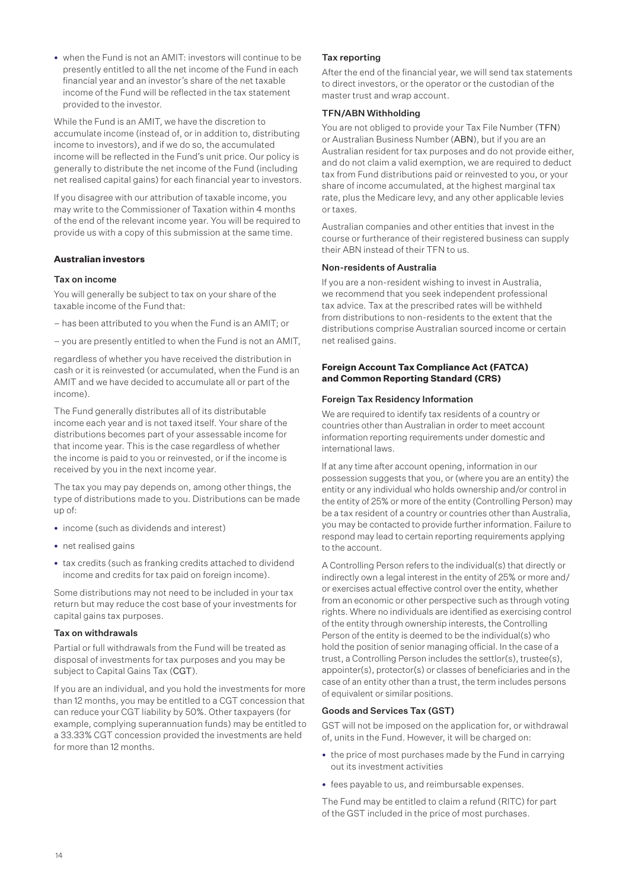• when the Fund is not an AMIT: investors will continue to be presently entitled to all the net income of the Fund in each financial year and an investor's share of the net taxable income of the Fund will be reflected in the tax statement provided to the investor.

While the Fund is an AMIT, we have the discretion to accumulate income (instead of, or in addition to, distributing income to investors), and if we do so, the accumulated income will be reflected in the Fund's unit price. Our policy is generally to distribute the net income of the Fund (including net realised capital gains) for each financial year to investors.

If you disagree with our attribution of taxable income, you may write to the Commissioner of Taxation within 4 months of the end of the relevant income year. You will be required to provide us with a copy of this submission at the same time.

#### **Australian investors**

#### Tax on income

You will generally be subject to tax on your share of the taxable income of the Fund that:

- has been attributed to you when the Fund is an AMIT; or
- you are presently entitled to when the Fund is not an AMIT,

regardless of whether you have received the distribution in cash or it is reinvested (or accumulated, when the Fund is an AMIT and we have decided to accumulate all or part of the income).

The Fund generally distributes all of its distributable income each year and is not taxed itself. Your share of the distributions becomes part of your assessable income for that income year. This is the case regardless of whether the income is paid to you or reinvested, or if the income is received by you in the next income year.

The tax you may pay depends on, among other things, the type of distributions made to you. Distributions can be made up of:

- income (such as dividends and interest)
- net realised gains
- tax credits (such as franking credits attached to dividend income and credits for tax paid on foreign income).

Some distributions may not need to be included in your tax return but may reduce the cost base of your investments for capital gains tax purposes.

#### Tax on withdrawals

Partial or full withdrawals from the Fund will be treated as disposal of investments for tax purposes and you may be subject to Capital Gains Tax (CGT).

If you are an individual, and you hold the investments for more than 12 months, you may be entitled to a CGT concession that can reduce your CGT liability by 50%. Other taxpayers (for example, complying superannuation funds) may be entitled to a 33.33% CGT concession provided the investments are held for more than 12 months.

#### Tax reporting

After the end of the financial year, we will send tax statements to direct investors, or the operator or the custodian of the master trust and wrap account.

#### TFN/ABN Withholding

You are not obliged to provide your Tax File Number (TFN) or Australian Business Number (ABN), but if you are an Australian resident for tax purposes and do not provide either, and do not claim a valid exemption, we are required to deduct tax from Fund distributions paid or reinvested to you, or your share of income accumulated, at the highest marginal tax rate, plus the Medicare levy, and any other applicable levies or taxes.

Australian companies and other entities that invest in the course or furtherance of their registered business can supply their ABN instead of their TFN to us.

#### Non-residents of Australia

If you are a non-resident wishing to invest in Australia, we recommend that you seek independent professional tax advice. Tax at the prescribed rates will be withheld from distributions to non-residents to the extent that the distributions comprise Australian sourced income or certain net realised gains.

#### **Foreign Account Tax Compliance Act (FATCA) and Common Reporting Standard (CRS)**

#### Foreign Tax Residency Information

We are required to identify tax residents of a country or countries other than Australian in order to meet account information reporting requirements under domestic and international laws.

If at any time after account opening, information in our possession suggests that you, or (where you are an entity) the entity or any individual who holds ownership and/or control in the entity of 25% or more of the entity (Controlling Person) may be a tax resident of a country or countries other than Australia, you may be contacted to provide further information. Failure to respond may lead to certain reporting requirements applying to the account.

A Controlling Person refers to the individual(s) that directly or indirectly own a legal interest in the entity of 25% or more and/ or exercises actual effective control over the entity, whether from an economic or other perspective such as through voting rights. Where no individuals are identified as exercising control of the entity through ownership interests, the Controlling Person of the entity is deemed to be the individual(s) who hold the position of senior managing official. In the case of a trust, a Controlling Person includes the settlor(s), trustee(s), appointer(s), protector(s) or classes of beneficiaries and in the case of an entity other than a trust, the term includes persons of equivalent or similar positions.

#### Goods and Services Tax (GST)

GST will not be imposed on the application for, or withdrawal of, units in the Fund. However, it will be charged on:

- the price of most purchases made by the Fund in carrying out its investment activities
- fees payable to us, and reimbursable expenses.

The Fund may be entitled to claim a refund (RITC) for part of the GST included in the price of most purchases.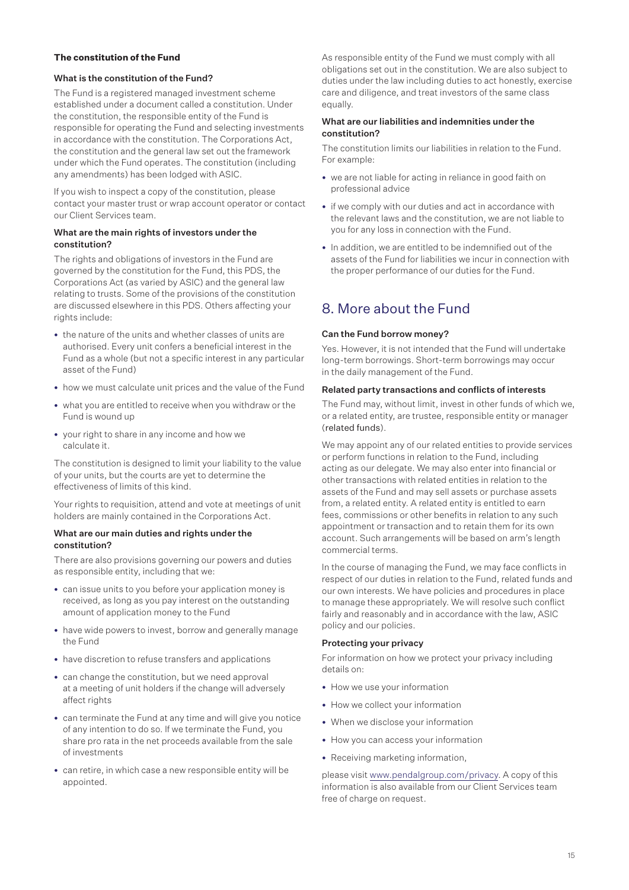#### **The constitution of the Fund**

#### What is the constitution of the Fund?

The Fund is a registered managed investment scheme established under a document called a constitution. Under the constitution, the responsible entity of the Fund is responsible for operating the Fund and selecting investments in accordance with the constitution. The Corporations Act, the constitution and the general law set out the framework under which the Fund operates. The constitution (including any amendments) has been lodged with ASIC.

If you wish to inspect a copy of the constitution, please contact your master trust or wrap account operator or contact our Client Services team.

#### What are the main rights of investors under the constitution?

The rights and obligations of investors in the Fund are governed by the constitution for the Fund, this PDS, the Corporations Act (as varied by ASIC) and the general law relating to trusts. Some of the provisions of the constitution are discussed elsewhere in this PDS. Others affecting your rights include:

- the nature of the units and whether classes of units are authorised. Every unit confers a beneficial interest in the Fund as a whole (but not a specific interest in any particular asset of the Fund)
- how we must calculate unit prices and the value of the Fund
- what you are entitled to receive when you withdraw or the Fund is wound up
- your right to share in any income and how we calculate it.

The constitution is designed to limit your liability to the value of your units, but the courts are yet to determine the effectiveness of limits of this kind.

Your rights to requisition, attend and vote at meetings of unit holders are mainly contained in the Corporations Act.

#### What are our main duties and rights under the constitution?

There are also provisions governing our powers and duties as responsible entity, including that we:

- can issue units to you before your application money is received, as long as you pay interest on the outstanding amount of application money to the Fund
- have wide powers to invest, borrow and generally manage the Fund
- have discretion to refuse transfers and applications
- can change the constitution, but we need approval at a meeting of unit holders if the change will adversely affect rights
- can terminate the Fund at any time and will give you notice of any intention to do so. If we terminate the Fund, you share pro rata in the net proceeds available from the sale of investments
- can retire, in which case a new responsible entity will be appointed.

As responsible entity of the Fund we must comply with all obligations set out in the constitution. We are also subject to duties under the law including duties to act honestly, exercise care and diligence, and treat investors of the same class equally.

#### What are our liabilities and indemnities under the constitution?

The constitution limits our liabilities in relation to the Fund. For example:

- we are not liable for acting in reliance in good faith on professional advice
- if we comply with our duties and act in accordance with the relevant laws and the constitution, we are not liable to you for any loss in connection with the Fund.
- In addition, we are entitled to be indemnified out of the assets of the Fund for liabilities we incur in connection with the proper performance of our duties for the Fund.

## 8. More about the Fund

#### Can the Fund borrow money?

Yes. However, it is not intended that the Fund will undertake long-term borrowings. Short-term borrowings may occur in the daily management of the Fund.

#### Related party transactions and conflicts of interests

The Fund may, without limit, invest in other funds of which we, or a related entity, are trustee, responsible entity or manager (related funds).

We may appoint any of our related entities to provide services or perform functions in relation to the Fund, including acting as our delegate. We may also enter into financial or other transactions with related entities in relation to the assets of the Fund and may sell assets or purchase assets from, a related entity. A related entity is entitled to earn fees, commissions or other benefits in relation to any such appointment or transaction and to retain them for its own account. Such arrangements will be based on arm's length commercial terms.

In the course of managing the Fund, we may face conflicts in respect of our duties in relation to the Fund, related funds and our own interests. We have policies and procedures in place to manage these appropriately. We will resolve such conflict fairly and reasonably and in accordance with the law, ASIC policy and our policies.

#### Protecting your privacy

For information on how we protect your privacy including details on:

- How we use your information
- How we collect your information
- When we disclose your information
- How you can access your information
- Receiving marketing information,

please visit www.pendalgroup.com/privacy. A copy of this information is also available from our Client Services team free of charge on request.